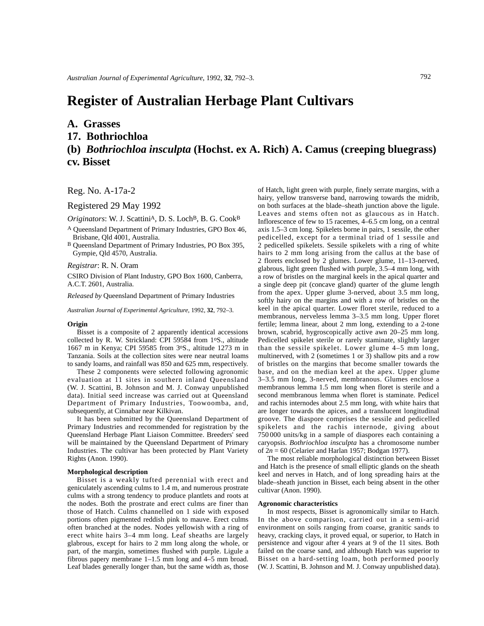# **Register of Australian Herbage Plant Cultivars**

### **A. Grasses**

### **17. Bothriochloa**

## **(b)** *Bothriochloa insculpta* **(Hochst. ex A. Rich) A. Camus (creeping bluegrass) cv. Bisset**

Reg. No. A-17a-2

Registered 29 May 1992

*Originators*: W. J. ScattiniA, D. S. LochB, B. G. CookB

- A Queensland Department of Primary Industries, GPO Box 46, Brisbane, Qld 4001, Australia.
- B Queensland Department of Primary Industries, PO Box 395, Gympie, Qld 4570, Australia.

#### *Registrar*: R. N. Oram

CSIRO Division of Plant Industry, GPO Box 1600, Canberra, A.C.T. 2601, Australia.

*Released by* Queensland Department of Primary Industries

*Australian Journal of Experimental Agriculture*, 1992, **32**, 792–3.

#### **Origin**

Bisset is a composite of 2 apparently identical accessions collected by R. W. Strickland: CPI 59584 from 1oS., altitude 1667 m in Kenya; CPI 59585 from 3oS., altitude 1273 m in Tanzania. Soils at the collection sites were near neutral loams to sandy loams, and rainfall was 850 and 625 mm, respectively.

These 2 components were selected following agronomic evaluation at 11 sites in southern inland Queensland (W. J. Scattini, B. Johnson and M. J. Conway unpublished data). Initial seed increase was carried out at Queensland Department of Primary Industries, Toowoomba, and, subsequently, at Cinnabar near Kilkivan.

It has been submitted by the Queensland Department of Primary Industries and recommended for registration by the Queensland Herbage Plant Liaison Committee. Breeders' seed will be maintained by the Queensland Department of Primary Industries. The cultivar has been protected by Plant Variety Rights (Anon. 1990).

#### **Morphological description**

Bisset is a weakly tufted perennial with erect and geniculately ascending culms to 1.4 m, and numerous prostrate culms with a strong tendency to produce plantlets and roots at the nodes. Both the prostrate and erect culms are finer than those of Hatch. Culms channelled on 1 side with exposed portions often pigmented reddish pink to mauve. Erect culms often branched at the nodes. Nodes yellowish with a ring of erect white hairs 3–4 mm long. Leaf sheaths are largely glabrous, except for hairs to 2 mm long along the whole, or part, of the margin, sometimes flushed with purple. Ligule a fibrous papery membrane 1–1.5 mm long and 4–5 mm broad. Leaf blades generally longer than, but the same width as, those

of Hatch, light green with purple, finely serrate margins, with a hairy, yellow transverse band, narrowing towards the midrib, on both surfaces at the blade–sheath junction above the ligule. Leaves and stems often not as glaucous as in Hatch. Inflorescence of few to 15 racemes, 4–6.5 cm long, on a central axis 1.5–3 cm long. Spikelets borne in pairs, 1 sessile, the other pedicelled, except for a terminal triad of 1 sessile and 2 pedicelled spikelets. Sessile spikelets with a ring of white hairs to 2 mm long arising from the callus at the base of 2 florets enclosed by 2 glumes. Lower glume, 11–13-nerved, glabrous, light green flushed with purple, 3.5–4 mm long, with a row of bristles on the marginal keels in the apical quarter and a single deep pit (concave gland) quarter of the glume length from the apex. Upper glume 3-nerved, about 3.5 mm long, softly hairy on the margins and with a row of bristles on the keel in the apical quarter. Lower floret sterile, reduced to a membranous, nerveless lemma 3–3.5 mm long. Upper floret fertile; lemma linear, about 2 mm long, extending to a 2-tone brown, scabrid, hygroscopically active awn 20–25 mm long. Pedicelled spikelet sterile or rarely staminate, slightly larger than the sessile spikelet. Lower glume 4–5 mm long, multinerved, with 2 (sometimes 1 or 3) shallow pits and a row of bristles on the margins that become smaller towards the base, and on the median keel at the apex. Upper glume 3–3.5 mm long, 3-nerved, membranous. Glumes enclose a membranous lemma 1.5 mm long when floret is sterile and a second membranous lemma when floret is staminate. Pedicel and rachis internodes about 2.5 mm long, with white hairs that are longer towards the apices, and a translucent longitudinal groove. The diaspore comprises the sessile and pedicelled spikelets and the rachis internode, giving about 750 000 units/kg in a sample of diaspores each containing a caryopsis. *Bothriochloa insculpta* has a chromosome number of 2*n* = 60 (Celarier and Harlan 1957; Bodgan 1977).

The most reliable morphological distinction between Bisset and Hatch is the presence of small elliptic glands on the sheath keel and nerves in Hatch, and of long spreading hairs at the blade–sheath junction in Bisset, each being absent in the other cultivar (Anon. 1990).

#### **Agronomic characteristics**

In most respects, Bisset is agronomically similar to Hatch. In the above comparison, carried out in a semi-arid environment on soils ranging from coarse, granitic sands to heavy, cracking clays, it proved equal, or superior, to Hatch in persistence and vigour after 4 years at 9 of the 11 sites. Both failed on the coarse sand, and although Hatch was superior to Bisset on a hard-setting loam, both performed poorly (W. J. Scattini, B. Johnson and M. J. Conway unpublished data).